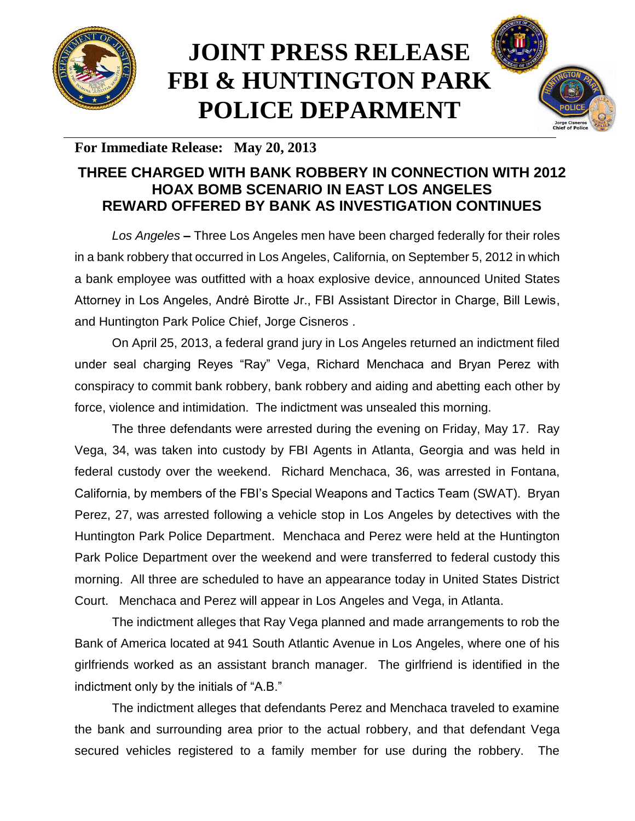

## **JOINT PRESS RELEASE FBI & HUNTINGTON PARK POLICE DEPARMENT**



## **For Immediate Release: May 20, 2013**

## **THREE CHARGED WITH BANK ROBBERY IN CONNECTION WITH 2012 HOAX BOMB SCENARIO IN EAST LOS ANGELES REWARD OFFERED BY BANK AS INVESTIGATION CONTINUES**

*Los Angeles* **–** Three Los Angeles men have been charged federally for their roles in a bank robbery that occurred in Los Angeles, California, on September 5, 2012 in which a bank employee was outfitted with a hoax explosive device, announced United States Attorney in Los Angeles, Andrė Birotte Jr., FBI Assistant Director in Charge, Bill Lewis, and Huntington Park Police Chief, Jorge Cisneros .

On April 25, 2013, a federal grand jury in Los Angeles returned an indictment filed under seal charging Reyes "Ray" Vega, Richard Menchaca and Bryan Perez with conspiracy to commit bank robbery, bank robbery and aiding and abetting each other by force, violence and intimidation. The indictment was unsealed this morning.

The three defendants were arrested during the evening on Friday, May 17. Ray Vega, 34, was taken into custody by FBI Agents in Atlanta, Georgia and was held in federal custody over the weekend. Richard Menchaca, 36, was arrested in Fontana, California, by members of the FBI's Special Weapons and Tactics Team (SWAT). Bryan Perez, 27, was arrested following a vehicle stop in Los Angeles by detectives with the Huntington Park Police Department. Menchaca and Perez were held at the Huntington Park Police Department over the weekend and were transferred to federal custody this morning. All three are scheduled to have an appearance today in United States District Court. Menchaca and Perez will appear in Los Angeles and Vega, in Atlanta.

The indictment alleges that Ray Vega planned and made arrangements to rob the Bank of America located at 941 South Atlantic Avenue in Los Angeles, where one of his girlfriends worked as an assistant branch manager. The girlfriend is identified in the indictment only by the initials of "A.B."

The indictment alleges that defendants Perez and Menchaca traveled to examine the bank and surrounding area prior to the actual robbery, and that defendant Vega secured vehicles registered to a family member for use during the robbery. The